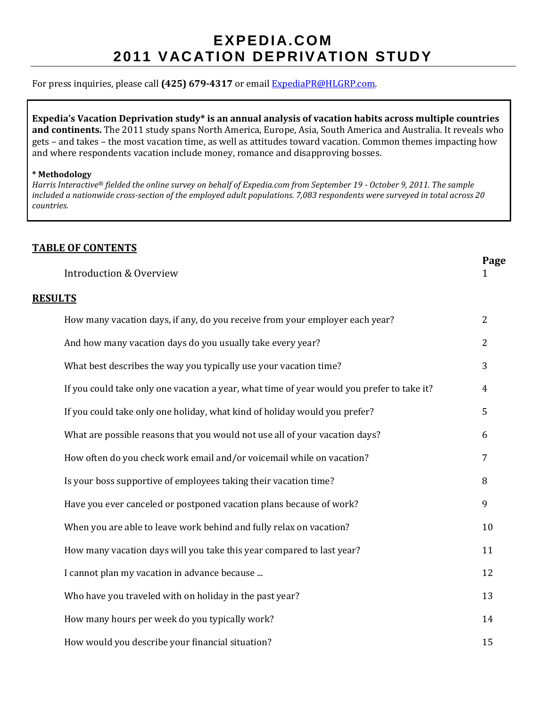# **EXPEDIA.COM 2011 VAC ATION DEPRIVATION STUDY**

#### For press inquiries, please call **(425) 679-4317** or email [ExpediaPR@HLGRP.com.](mailto:ExpediaPR@HLGRP.com)

**Expedia's Vacation Deprivation study\* is an annual analysis of vacation habits across multiple countries and continents.** The 2011 study spans North America, Europe, Asia, South America and Australia. It reveals who gets – and takes – the most vacation time, as well as attitudes toward vacation. Common themes impacting how and where respondents vacation include money, romance and disapproving bosses.

#### **\* Methodology**

*Harris Interactive® fielded the online survey on behalf of Expedia.com from September 19 - October 9, 2011. The sample included a nationwide cross-section of the employed adult populations. 7,083 respondents were surveyed in total across 20 countries.*

#### **TABLE OF CONTENTS**

|                         | Page |
|-------------------------|------|
| Introduction & Overview |      |

#### **RESULTS**

| How many vacation days, if any, do you receive from your employer each year?               | $\overline{2}$ |
|--------------------------------------------------------------------------------------------|----------------|
| And how many vacation days do you usually take every year?                                 | $\overline{2}$ |
| What best describes the way you typically use your vacation time?                          | 3              |
| If you could take only one vacation a year, what time of year would you prefer to take it? | $\overline{4}$ |
| If you could take only one holiday, what kind of holiday would you prefer?                 | 5              |
| What are possible reasons that you would not use all of your vacation days?                | 6              |
| How often do you check work email and/or voicemail while on vacation?                      | 7              |
| Is your boss supportive of employees taking their vacation time?                           | 8              |
| Have you ever canceled or postponed vacation plans because of work?                        | 9              |
| When you are able to leave work behind and fully relax on vacation?                        | 10             |
| How many vacation days will you take this year compared to last year?                      | 11             |
| I cannot plan my vacation in advance because                                               | 12             |
| Who have you traveled with on holiday in the past year?                                    | 13             |
| How many hours per week do you typically work?                                             | 14             |
| How would you describe your financial situation?                                           | 15             |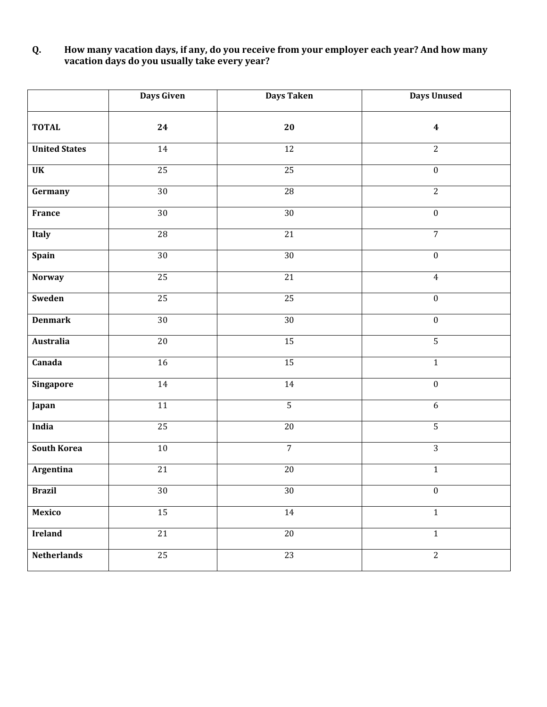#### **Q. How many vacation days, if any, do you receive from your employer each year? And how many vacation days do you usually take every year?**

|                      | <b>Days Given</b> | Days Taken      | <b>Days Unused</b>      |
|----------------------|-------------------|-----------------|-------------------------|
| <b>TOTAL</b>         | 24                | 20              | $\overline{\mathbf{4}}$ |
| <b>United States</b> | $\overline{14}$   | $\overline{12}$ | $\overline{2}$          |
| <b>UK</b>            | 25                | 25              | $\overline{0}$          |
| Germany              | 30                | $\overline{28}$ | $\overline{2}$          |
| France               | $\overline{30}$   | 30              | $\boldsymbol{0}$        |
| Italy                | $\overline{28}$   | $\overline{21}$ | $\overline{7}$          |
| Spain                | 30                | 30              | $\overline{0}$          |
| <b>Norway</b>        | 25                | $\overline{21}$ | $\overline{4}$          |
| Sweden               | 25                | 25              | $\boldsymbol{0}$        |
| <b>Denmark</b>       | $\overline{30}$   | $\overline{30}$ | $\boldsymbol{0}$        |
| Australia            | $\overline{20}$   | $\overline{15}$ | $\overline{5}$          |
| Canada               | $\overline{16}$   | $\overline{15}$ | $1\,$                   |
| Singapore            | $14\,$            | $14\,$          | $\boldsymbol{0}$        |
| Japan                | $11\,$            | $\overline{5}$  | $6\phantom{.}6$         |
| India                | $\overline{25}$   | $\overline{20}$ | $\overline{5}$          |
| <b>South Korea</b>   | $10\,$            | $\overline{7}$  | $\overline{3}$          |
| Argentina            | $\overline{21}$   | $\overline{20}$ | $\mathbf 1$             |
| <b>Brazil</b>        | 30                | 30              | $\boldsymbol{0}$        |
| <b>Mexico</b>        | 15                | 14              | $1\,$                   |
| <b>Ireland</b>       | 21                | 20              | $1\,$                   |
| Netherlands          | $\overline{25}$   | $\overline{23}$ | $\overline{2}$          |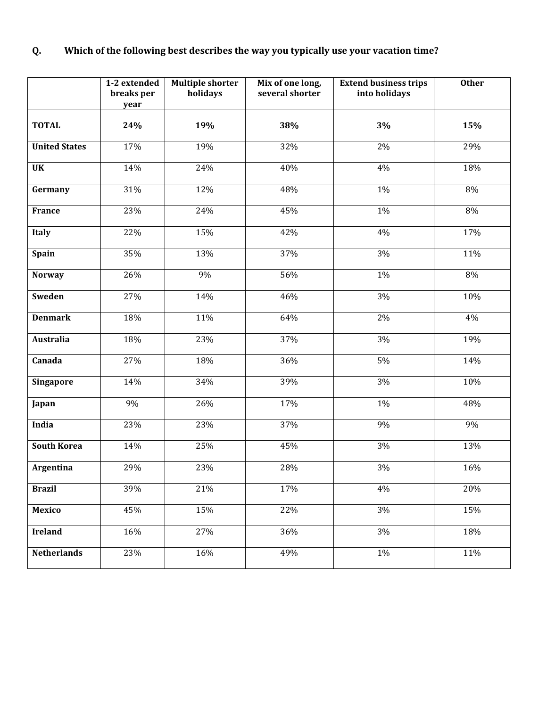## **Q. Which of the following best describes the way you typically use your vacation time?**

|                      | 1-2 extended<br>breaks per<br>year | <b>Multiple shorter</b><br>holidays | Mix of one long,<br>several shorter | <b>Extend business trips</b><br>into holidays | <b>Other</b> |
|----------------------|------------------------------------|-------------------------------------|-------------------------------------|-----------------------------------------------|--------------|
| <b>TOTAL</b>         | 24%                                | 19%                                 | 38%                                 | 3%                                            | 15%          |
| <b>United States</b> | 17%                                | 19%                                 | 32%                                 | 2%                                            | 29%          |
| <b>UK</b>            | 14%                                | 24%                                 | 40%                                 | 4%                                            | 18%          |
| Germany              | 31%                                | 12%                                 | 48%                                 | 1%                                            | 8%           |
| <b>France</b>        | 23%                                | 24%                                 | 45%                                 | 1%                                            | $8\%$        |
| <b>Italy</b>         | 22%                                | 15%                                 | 42%                                 | 4%                                            | 17%          |
| Spain                | 35%                                | 13%                                 | 37%                                 | 3%                                            | 11%          |
| <b>Norway</b>        | 26%                                | 9%                                  | 56%                                 | 1%                                            | $8\%$        |
| Sweden               | 27%                                | 14%                                 | 46%                                 | 3%                                            | 10%          |
| <b>Denmark</b>       | 18%                                | 11%                                 | 64%                                 | 2%                                            | 4%           |
| <b>Australia</b>     | 18%                                | 23%                                 | 37%                                 | 3%                                            | 19%          |
| Canada               | 27%                                | 18%                                 | 36%                                 | $5\%$                                         | 14%          |
| <b>Singapore</b>     | 14%                                | 34%                                 | 39%                                 | 3%                                            | 10%          |
| Japan                | 9%                                 | 26%                                 | 17%                                 | $1\%$                                         | 48%          |
| India                | 23%                                | 23%                                 | 37%                                 | 9%                                            | 9%           |
| <b>South Korea</b>   | 14%                                | 25%                                 | 45%                                 | $3\%$                                         | 13%          |
| Argentina            | 29%                                | 23%                                 | 28%                                 | 3%                                            | 16%          |
| <b>Brazil</b>        | 39%                                | 21%                                 | 17%                                 | 4%                                            | 20%          |
| Mexico               | 45%                                | 15%                                 | 22%                                 | 3%                                            | 15%          |
| <b>Ireland</b>       | 16%                                | 27%                                 | 36%                                 | 3%                                            | 18%          |
| <b>Netherlands</b>   | 23%                                | 16%                                 | 49%                                 | $1\%$                                         | 11%          |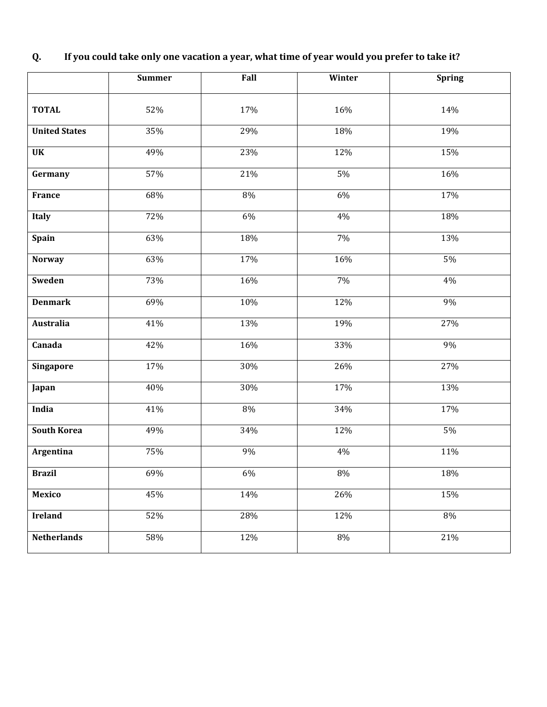|                      | <b>Summer</b> | Fall  | Winter | <b>Spring</b> |
|----------------------|---------------|-------|--------|---------------|
|                      |               |       |        |               |
| <b>TOTAL</b>         | 52%           | 17%   | 16%    | 14%           |
| <b>United States</b> | 35%           | 29%   | 18%    | 19%           |
| <b>UK</b>            | 49%           | 23%   | 12%    | 15%           |
| Germany              | 57%           | 21%   | 5%     | 16%           |
| France               | 68%           | 8%    | 6%     | 17%           |
| <b>Italy</b>         | 72%           | 6%    | 4%     | 18%           |
| <b>Spain</b>         | 63%           | 18%   | 7%     | 13%           |
| <b>Norway</b>        | 63%           | 17%   | 16%    | 5%            |
| Sweden               | 73%           | 16%   | 7%     | 4%            |
| <b>Denmark</b>       | 69%           | 10%   | 12%    | 9%            |
| <b>Australia</b>     | 41%           | 13%   | 19%    | 27%           |
| Canada               | 42%           | 16%   | 33%    | 9%            |
| <b>Singapore</b>     | 17%           | 30%   | 26%    | 27%           |
| Japan                | 40%           | 30%   | 17%    | 13%           |
| India                | 41%           | $8\%$ | 34%    | 17%           |
| <b>South Korea</b>   | 49%           | 34%   | 12%    | 5%            |
| Argentina            | 75%           | 9%    | 4%     | 11%           |
| <b>Brazil</b>        | 69%           | 6%    | $8\%$  | 18%           |
| Mexico               | 45%           | 14%   | 26%    | 15%           |
| <b>Ireland</b>       | 52%           | 28%   | 12%    | 8%            |
| <b>Netherlands</b>   | 58%           | 12%   | 8%     | 21%           |

# **Q. If you could take only one vacation a year, what time of year would you prefer to take it?**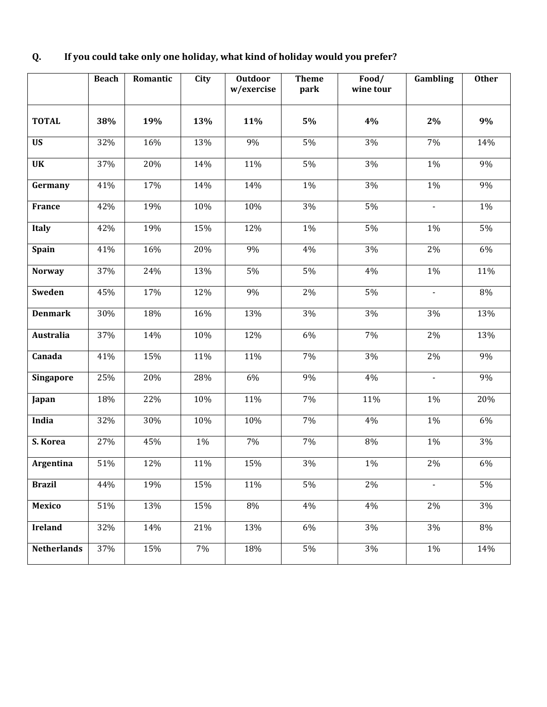|                  | <b>Beach</b> | Romantic | City | <b>Outdoor</b><br>w/exercise | <b>Theme</b><br>park | Food/<br>wine tour | Gambling       | <b>Other</b> |
|------------------|--------------|----------|------|------------------------------|----------------------|--------------------|----------------|--------------|
| <b>TOTAL</b>     | 38%          | 19%      | 13%  | 11%                          | 5%                   | 4%                 | $2\%$          | 9%           |
| <b>US</b>        | 32%          | 16%      | 13%  | 9%                           | 5%                   | 3%                 | 7%             | 14%          |
| <b>UK</b>        | 37%          | 20%      | 14%  | 11%                          | 5%                   | 3%                 | 1%             | 9%           |
| Germany          | 41%          | 17%      | 14%  | 14%                          | 1%                   | 3%                 | 1%             | 9%           |
| France           | 42%          | 19%      | 10%  | 10%                          | 3%                   | 5%                 |                | $1\%$        |
| <b>Italy</b>     | 42%          | 19%      | 15%  | 12%                          | 1%                   | 5%                 | 1%             | 5%           |
| <b>Spain</b>     | 41%          | 16%      | 20%  | 9%                           | 4%                   | 3%                 | 2%             | 6%           |
| <b>Norway</b>    | 37%          | 24%      | 13%  | 5%                           | 5%                   | 4%                 | 1%             | 11%          |
| Sweden           | 45%          | 17%      | 12%  | 9%                           | 2%                   | 5%                 | $\blacksquare$ | 8%           |
| <b>Denmark</b>   | 30%          | 18%      | 16%  | 13%                          | 3%                   | 3%                 | 3%             | 13%          |
| <b>Australia</b> | 37%          | 14%      | 10%  | 12%                          | 6%                   | 7%                 | 2%             | 13%          |
| Canada           | 41%          | 15%      | 11%  | 11%                          | $7\%$                | 3%                 | 2%             | 9%           |
| Singapore        | 25%          | 20%      | 28%  | 6%                           | 9%                   | 4%                 | $\mathbf{r}$   | 9%           |
| Japan            | 18%          | 22%      | 10%  | 11%                          | 7%                   | 11%                | 1%             | 20%          |
| India            | 32%          | 30%      | 10%  | 10%                          | 7%                   | 4%                 | $1\%$          | 6%           |
| S. Korea         | 27%          | 45%      | 1%   | 7%                           | 7%                   | 8%                 | 1%             | 3%           |
| <b>Argentina</b> | 51%          | 12%      | 11%  | 15%                          | 3%                   | $1\%$              | 2%             | 6%           |
| <b>Brazil</b>    | 44%          | 19%      | 15%  | 11%                          | 5%                   | 2%                 | $\mathbf{r}$   | 5%           |
| <b>Mexico</b>    | 51%          | 13%      | 15%  | 8%                           | 4%                   | 4%                 | 2%             | 3%           |

**Ireland** 32% 14% 21% 13% 6% 3% 3% 8%

**Netherlands** 37% 15% 7% 18% 5% 3% 1% 1% 14%

### **Q. If you could take only one holiday, what kind of holiday would you prefer?**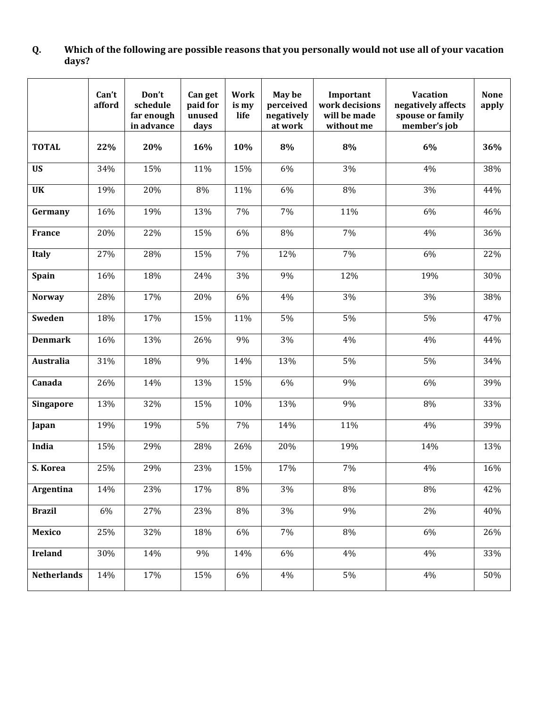#### **Q. Which of the following are possible reasons that you personally would not use all of your vacation days?**

|                    | Can't<br>afford | Don't<br>schedule<br>far enough<br>in advance | Can get<br>paid for<br>unused<br>days | <b>Work</b><br>is my<br>life | May be<br>perceived<br>negatively<br>at work | Important<br>work decisions<br>will be made<br>without me | <b>Vacation</b><br>negatively affects<br>spouse or family<br>member's job | <b>None</b><br>apply |
|--------------------|-----------------|-----------------------------------------------|---------------------------------------|------------------------------|----------------------------------------------|-----------------------------------------------------------|---------------------------------------------------------------------------|----------------------|
| <b>TOTAL</b>       | 22%             | 20%                                           | 16%                                   | 10%                          | 8%                                           | 8%                                                        | 6%                                                                        | 36%                  |
| <b>US</b>          | 34%             | 15%                                           | 11%                                   | 15%                          | 6%                                           | 3%                                                        | 4%                                                                        | 38%                  |
| <b>UK</b>          | 19%             | 20%                                           | 8%                                    | 11%                          | 6%                                           | 8%                                                        | 3%                                                                        | 44%                  |
| Germany            | 16%             | 19%                                           | 13%                                   | 7%                           | 7%                                           | 11%                                                       | 6%                                                                        | 46%                  |
| <b>France</b>      | 20%             | 22%                                           | 15%                                   | 6%                           | 8%                                           | 7%                                                        | 4%                                                                        | 36%                  |
| Italy              | 27%             | 28%                                           | 15%                                   | 7%                           | 12%                                          | 7%                                                        | 6%                                                                        | 22%                  |
| Spain              | 16%             | 18%                                           | 24%                                   | 3%                           | 9%                                           | 12%                                                       | 19%                                                                       | 30%                  |
| <b>Norway</b>      | 28%             | 17%                                           | 20%                                   | 6%                           | 4%                                           | 3%                                                        | 3%                                                                        | 38%                  |
| Sweden             | 18%             | 17%                                           | 15%                                   | 11%                          | 5%                                           | 5%                                                        | 5%                                                                        | 47%                  |
| <b>Denmark</b>     | 16%             | 13%                                           | 26%                                   | 9%                           | 3%                                           | 4%                                                        | 4%                                                                        | 44%                  |
| Australia          | 31%             | 18%                                           | 9%                                    | 14%                          | 13%                                          | 5%                                                        | 5%                                                                        | 34%                  |
| Canada             | 26%             | 14%                                           | 13%                                   | 15%                          | 6%                                           | 9%                                                        | 6%                                                                        | 39%                  |
| <b>Singapore</b>   | 13%             | 32%                                           | 15%                                   | 10%                          | 13%                                          | 9%                                                        | 8%                                                                        | 33%                  |
| Japan              | 19%             | 19%                                           | 5%                                    | 7%                           | 14%                                          | 11%                                                       | 4%                                                                        | 39%                  |
| India              | 15%             | 29%                                           | 28%                                   | 26%                          | 20%                                          | 19%                                                       | 14%                                                                       | 13%                  |
| S. Korea           | 25%             | 29%                                           | 23%                                   | 15%                          | 17%                                          | 7%                                                        | 4%                                                                        | 16%                  |
| Argentina          | 14%             | 23%                                           | 17%                                   | 8%                           | 3%                                           | 8%                                                        | $8\%$                                                                     | 42%                  |
| <b>Brazil</b>      | 6%              | 27%                                           | 23%                                   | 8%                           | $3\%$                                        | 9%                                                        | $2\%$                                                                     | 40%                  |
| <b>Mexico</b>      | 25%             | 32%                                           | 18%                                   | 6%                           | 7%                                           | 8%                                                        | 6%                                                                        | 26%                  |
| <b>Ireland</b>     | 30%             | 14%                                           | 9%                                    | 14%                          | 6%                                           | $4\%$                                                     | 4%                                                                        | 33%                  |
| <b>Netherlands</b> | 14%             | 17%                                           | 15%                                   | 6%                           | $4\%$                                        | 5%                                                        | $4\%$                                                                     | 50%                  |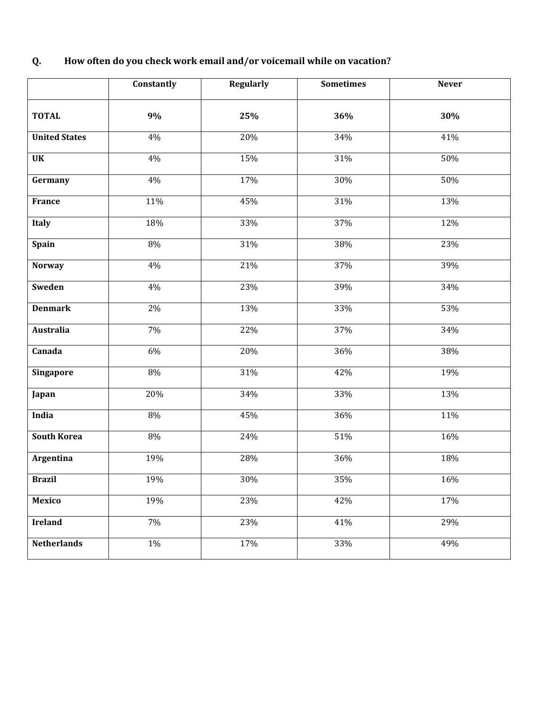| Q. | How often do you check work email and/or voicemail while on vacation? |
|----|-----------------------------------------------------------------------|
|----|-----------------------------------------------------------------------|

|                      | Constantly | <b>Regularly</b> | <b>Sometimes</b> | <b>Never</b> |
|----------------------|------------|------------------|------------------|--------------|
| <b>TOTAL</b>         | 9%         | 25%              | 36%              | 30%          |
| <b>United States</b> | 4%         | 20%              | 34%              | 41%          |
| <b>UK</b>            | 4%         | 15%              | 31%              | 50%          |
| Germany              | 4%         | 17%              | 30%              | 50%          |
| France               | 11%        | 45%              | 31%              | 13%          |
| <b>Italy</b>         | 18%        | 33%              | 37%              | 12%          |
| Spain                | 8%         | 31%              | 38%              | 23%          |
| <b>Norway</b>        | 4%         | 21%              | 37%              | 39%          |
| Sweden               | 4%         | 23%              | 39%              | 34%          |
| <b>Denmark</b>       | 2%         | 13%              | 33%              | 53%          |
| Australia            | 7%         | 22%              | 37%              | 34%          |
| Canada               | 6%         | 20%              | 36%              | 38%          |
| Singapore            | $8\%$      | 31%              | 42%              | 19%          |
| Japan                | 20%        | 34%              | 33%              | 13%          |
| India                | 8%         | 45%              | 36%              | 11%          |
| <b>South Korea</b>   | 8%         | 24%              | 51%              | 16%          |
| Argentina            | 19%        | 28%              | 36%              | 18%          |
| <b>Brazil</b>        | 19%        | 30%              | 35%              | 16%          |
| Mexico               | 19%        | 23%              | 42%              | 17%          |
| <b>Ireland</b>       | 7%         | 23%              | 41%              | 29%          |
| <b>Netherlands</b>   | $1\%$      | 17%              | 33%              | 49%          |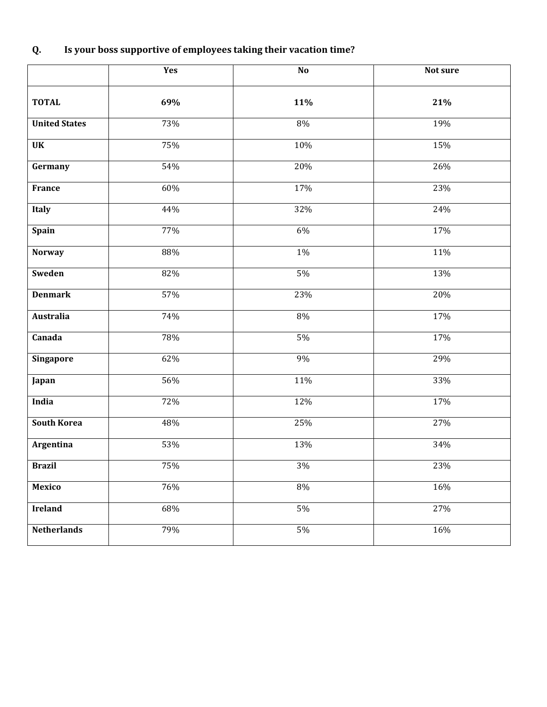# **Q. Is your boss supportive of employees taking their vacation time?**

|                      | Yes | No    | Not sure |
|----------------------|-----|-------|----------|
| <b>TOTAL</b>         | 69% | 11%   | 21%      |
| <b>United States</b> | 73% | $8\%$ | 19%      |
| <b>UK</b>            | 75% | 10%   | 15%      |
| Germany              | 54% | 20%   | 26%      |
| France               | 60% | 17%   | 23%      |
| <b>Italy</b>         | 44% | 32%   | 24%      |
| Spain                | 77% | 6%    | 17%      |
| <b>Norway</b>        | 88% | $1\%$ | 11%      |
| Sweden               | 82% | 5%    | 13%      |
| <b>Denmark</b>       | 57% | 23%   | 20%      |
| <b>Australia</b>     | 74% | $8\%$ | $17\%$   |
| Canada               | 78% | $5\%$ | $17\%$   |
| <b>Singapore</b>     | 62% | 9%    | 29%      |
| Japan                | 56% | 11%   | 33%      |
| India                | 72% | 12%   | 17%      |
| <b>South Korea</b>   | 48% | 25%   | 27%      |
| Argentina            | 53% | 13%   | 34%      |
| <b>Brazil</b>        | 75% | 3%    | 23%      |
| <b>Mexico</b>        | 76% | $8\%$ | 16%      |
| <b>Ireland</b>       | 68% | $5\%$ | 27%      |
| <b>Netherlands</b>   | 79% | $5\%$ | 16%      |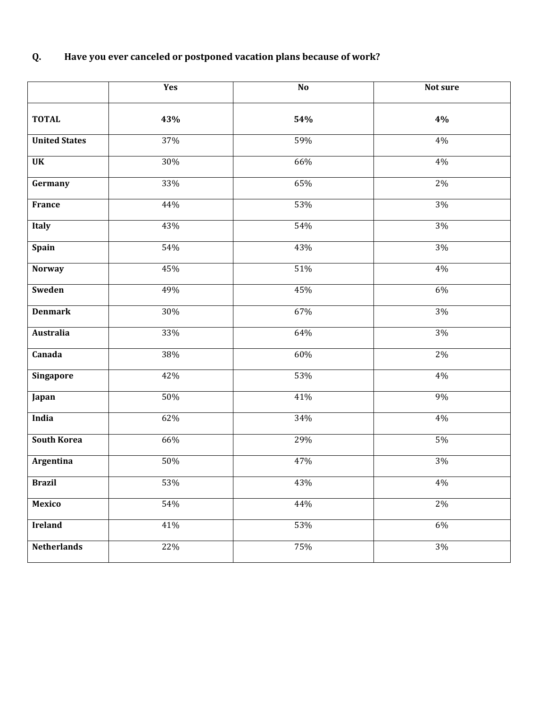### **Q. Have you ever canceled or postponed vacation plans because of work?**

|                      | Yes    | N <sub>0</sub>    | Not sure |
|----------------------|--------|-------------------|----------|
| <b>TOTAL</b>         | 43%    | 54%               | 4%       |
| <b>United States</b> | 37%    | 59%               | $4\%$    |
| <b>UK</b>            | 30%    | 66%               | $4\%$    |
| Germany              | 33%    | 65%               | $2\%$    |
| France               | 44%    | 53%               | $3\%$    |
| Italy                | 43%    | 54%               | $3\%$    |
| Spain                | 54%    | 43%               | $3\%$    |
| <b>Norway</b>        | 45%    | $\overline{51}\%$ | $4\%$    |
| Sweden               | 49%    | 45%               | $6\%$    |
| <b>Denmark</b>       | 30%    | 67%               | $3\%$    |
| <b>Australia</b>     | 33%    | 64%               | $3\%$    |
| Canada               | 38%    | 60%               | $2\%$    |
| Singapore            | 42%    | 53%               | $4\%$    |
| Japan                | $50\%$ | 41%               | $9\%$    |
| India                | 62%    | 34%               | $4\%$    |
| <b>South Korea</b>   | 66%    | 29%               | $5\%$    |
| Argentina            | 50%    | 47%               | $3\%$    |
| <b>Brazil</b>        | 53%    | 43%               | 4%       |
| <b>Mexico</b>        | 54%    | 44%               | $2\%$    |
| <b>Ireland</b>       | 41%    | 53%               | 6%       |
| <b>Netherlands</b>   | 22%    | 75%               | 3%       |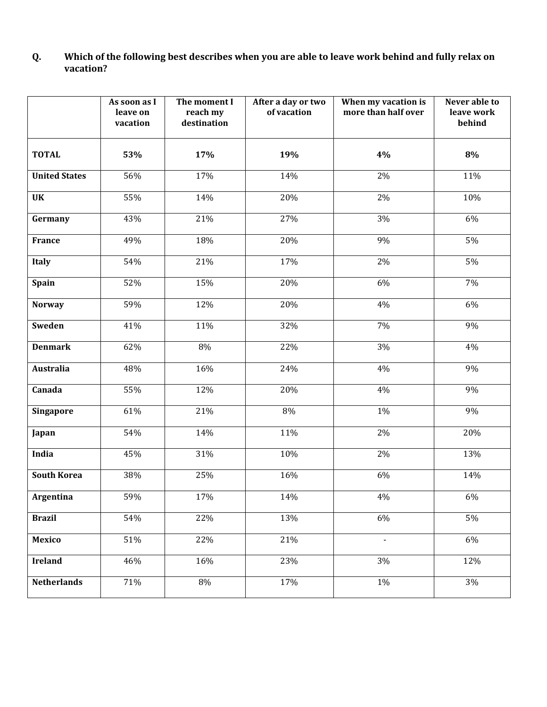#### **Q. Which of the following best describes when you are able to leave work behind and fully relax on vacation?**

|                      | As soon as I<br>leave on<br>vacation | The moment I<br>reach my<br>destination | After a day or two<br>of vacation | When my vacation is<br>more than half over | Never able to<br>leave work<br>behind |
|----------------------|--------------------------------------|-----------------------------------------|-----------------------------------|--------------------------------------------|---------------------------------------|
| <b>TOTAL</b>         | 53%                                  | 17%                                     | 19%                               | 4%                                         | 8%                                    |
| <b>United States</b> | 56%                                  | 17%                                     | 14%                               | 2%                                         | 11%                                   |
| <b>UK</b>            | 55%                                  | 14%                                     | 20%                               | 2%                                         | 10%                                   |
| Germany              | 43%                                  | 21%                                     | 27%                               | 3%                                         | 6%                                    |
| France               | 49%                                  | 18%                                     | 20%                               | 9%                                         | 5%                                    |
| <b>Italy</b>         | 54%                                  | 21%                                     | 17%                               | 2%                                         | 5%                                    |
| <b>Spain</b>         | 52%                                  | 15%                                     | 20%                               | 6%                                         | 7%                                    |
| <b>Norway</b>        | 59%                                  | 12%                                     | 20%                               | 4%                                         | 6%                                    |
| Sweden               | 41%                                  | 11%                                     | 32%                               | 7%                                         | 9%                                    |
| <b>Denmark</b>       | 62%                                  | 8%                                      | 22%                               | 3%                                         | 4%                                    |
| <b>Australia</b>     | 48%                                  | 16%                                     | 24%                               | 4%                                         | 9%                                    |
| Canada               | 55%                                  | 12%                                     | 20%                               | 4%                                         | 9%                                    |
| Singapore            | 61%                                  | 21%                                     | 8%                                | 1%                                         | 9%                                    |
| Japan                | 54%                                  | 14%                                     | 11%                               | 2%                                         | 20%                                   |
| India                | 45%                                  | 31%                                     | 10%                               | 2%                                         | 13%                                   |
| <b>South Korea</b>   | 38%                                  | 25%                                     | 16%                               | 6%                                         | 14%                                   |
| Argentina            | 59%                                  | 17%                                     | 14%                               | $4\%$                                      | $6\%$                                 |
| <b>Brazil</b>        | 54%                                  | 22%                                     | 13%                               | 6%                                         | $5\%$                                 |
| <b>Mexico</b>        | 51%                                  | 22%                                     | 21%                               | $\overline{\phantom{a}}$                   | 6%                                    |
| <b>Ireland</b>       | 46%                                  | 16%                                     | 23%                               | $3\%$                                      | 12%                                   |
| <b>Netherlands</b>   | 71%                                  | 8%                                      | 17%                               | $1\%$                                      | $3\%$                                 |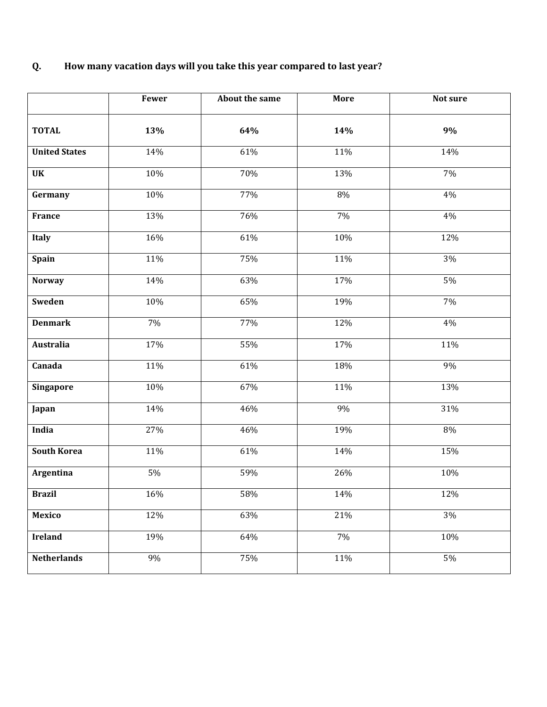# **Q. How many vacation days will you take this year compared to last year?**

|                      | Fewer | About the same | More             | Not sure |
|----------------------|-------|----------------|------------------|----------|
| <b>TOTAL</b>         | 13%   | 64%            | 14%              | $9\%$    |
| <b>United States</b> | 14%   | 61%            | 11%              | 14%      |
| <b>UK</b>            | 10%   | 70%            | 13%              | 7%       |
| Germany              | 10%   | 77%            | 8%               | 4%       |
| France               | 13%   | 76%            | 7%               | 4%       |
| Italy                | 16%   | 61%            | 10%              | 12%      |
| Spain                | 11%   | 75%            | 11%              | 3%       |
| <b>Norway</b>        | 14%   | 63%            | 17%              | 5%       |
| Sweden               | 10%   | 65%            | 19%              | 7%       |
| <b>Denmark</b>       | 7%    | 77%            | 12%              | 4%       |
| <b>Australia</b>     | 17%   | 55%            | 17%              | 11%      |
| Canada               | 11%   | 61%            | 18%              | 9%       |
| Singapore            | 10%   | 67%            | 11%              | 13%      |
| Japan                | 14%   | 46%            | 9%               | 31%      |
| India                | 27%   | 46%            | 19%              | 8%       |
| <b>South Korea</b>   | 11%   | 61%            | 14%              | 15%      |
| <b>Argentina</b>     | 5%    | 59%            | $\frac{1}{26\%}$ | 10%      |
| <b>Brazil</b>        | 16%   | 58%            | 14%              | 12%      |
| <b>Mexico</b>        | 12%   | 63%            | 21%              | 3%       |
| <b>Ireland</b>       | 19%   | 64%            | 7%               | 10%      |
| <b>Netherlands</b>   | 9%    | 75%            | $\frac{11}{6}$   | 5%       |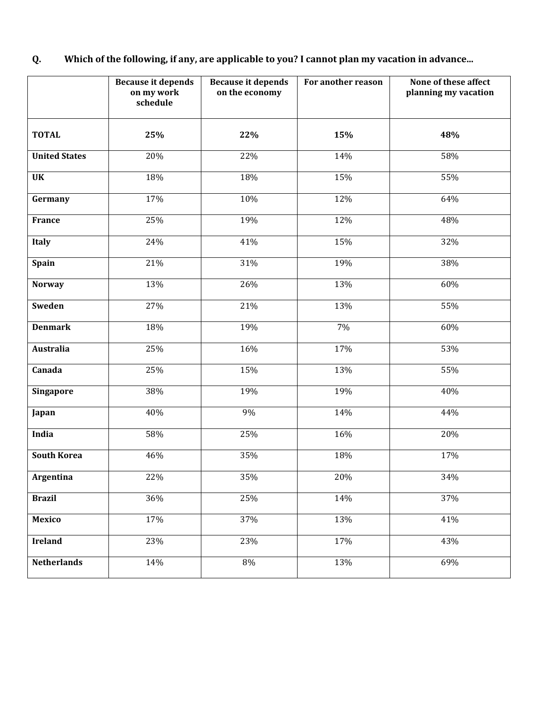### **Q. Which of the following, if any, are applicable to you? I cannot plan my vacation in advance...**

|                      | <b>Because it depends</b><br>on my work<br>schedule | <b>Because it depends</b><br>on the economy | For another reason | None of these affect<br>planning my vacation |
|----------------------|-----------------------------------------------------|---------------------------------------------|--------------------|----------------------------------------------|
| <b>TOTAL</b>         | 25%                                                 | 22%                                         | 15%                | 48%                                          |
| <b>United States</b> | 20%                                                 | 22%                                         | 14%                | 58%                                          |
| <b>UK</b>            | 18%                                                 | 18%                                         | 15%                | 55%                                          |
| Germany              | 17%                                                 | 10%                                         | 12%                | 64%                                          |
| <b>France</b>        | 25%                                                 | 19%                                         | 12%                | 48%                                          |
| <b>Italy</b>         | 24%                                                 | 41%                                         | 15%                | 32%                                          |
| Spain                | 21%                                                 | 31%                                         | 19%                | 38%                                          |
| <b>Norway</b>        | 13%                                                 | 26%                                         | 13%                | 60%                                          |
| Sweden               | 27%                                                 | 21%                                         | 13%                | 55%                                          |
| <b>Denmark</b>       | 18%                                                 | 19%                                         | 7%                 | 60%                                          |
| Australia            | 25%                                                 | 16%                                         | 17%                | 53%                                          |
| Canada               | 25%                                                 | 15%                                         | 13%                | 55%                                          |
| <b>Singapore</b>     | 38%                                                 | 19%                                         | 19%                | 40%                                          |
| Japan                | 40%                                                 | 9%                                          | 14%                | 44%                                          |
| India                | 58%                                                 | 25%                                         | 16%                | 20%                                          |
| <b>South Korea</b>   | 46%                                                 | 35%                                         | 18%                | 17%                                          |
| <b>Argentina</b>     | 22%                                                 | 35%                                         | 20%                | 34%                                          |
| <b>Brazil</b>        | 36%                                                 | 25%                                         | 14%                | 37%                                          |
| <b>Mexico</b>        | 17%                                                 | 37%                                         | 13%                | 41%                                          |
| <b>Ireland</b>       | 23%                                                 | 23%                                         | 17%                | 43%                                          |
| <b>Netherlands</b>   | 14%                                                 | 8%                                          | 13%                | 69%                                          |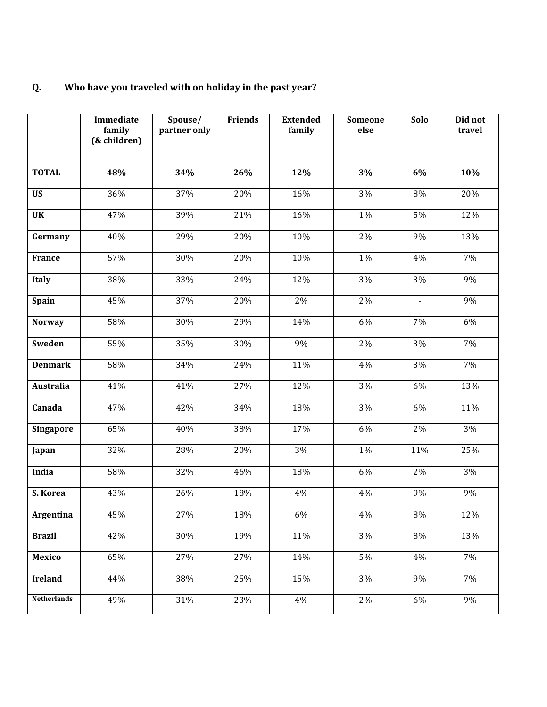### **Q. Who have you traveled with on holiday in the past year?**

|                    | Immediate<br>family<br>(& children) | Spouse/<br>partner only | <b>Friends</b> | <b>Extended</b><br>family | Someone<br>else | Solo           | Did not<br>travel |
|--------------------|-------------------------------------|-------------------------|----------------|---------------------------|-----------------|----------------|-------------------|
| <b>TOTAL</b>       | 48%                                 | 34%                     | 26%            | 12%                       | 3%              | 6%             | 10%               |
| <b>US</b>          | 36%                                 | 37%                     | 20%            | 16%                       | 3%              | 8%             | 20%               |
| <b>UK</b>          | 47%                                 | 39%                     | 21%            | 16%                       | 1%              | 5%             | 12%               |
| Germany            | 40%                                 | 29%                     | 20%            | 10%                       | 2%              | 9%             | 13%               |
| <b>France</b>      | 57%                                 | 30%                     | 20%            | 10%                       | 1%              | 4%             | 7%                |
| Italy              | 38%                                 | 33%                     | 24%            | 12%                       | 3%              | 3%             | 9%                |
| <b>Spain</b>       | 45%                                 | 37%                     | 20%            | 2%                        | 2%              | $\blacksquare$ | 9%                |
| <b>Norway</b>      | 58%                                 | 30%                     | 29%            | 14%                       | 6%              | 7%             | 6%                |
| <b>Sweden</b>      | 55%                                 | 35%                     | 30%            | 9%                        | 2%              | 3%             | 7%                |
| <b>Denmark</b>     | 58%                                 | 34%                     | 24%            | 11%                       | 4%              | 3%             | 7%                |
| <b>Australia</b>   | 41%                                 | 41%                     | 27%            | 12%                       | 3%              | 6%             | 13%               |
| Canada             | 47%                                 | 42%                     | 34%            | 18%                       | 3%              | 6%             | 11%               |
| Singapore          | 65%                                 | 40%                     | 38%            | 17%                       | 6%              | 2%             | 3%                |
| Japan              | 32%                                 | 28%                     | 20%            | 3%                        | 1%              | 11%            | 25%               |
| India              | 58%                                 | 32%                     | 46%            | 18%                       | 6%              | 2%             | 3%                |
| S. Korea           | 43%                                 | 26%                     | 18%            | $4\%$                     | $4\%$           | 9%             | 9%                |
| Argentina          | 45%                                 | 27%                     | 18%            | 6%                        | 4%              | 8%             | 12%               |
| <b>Brazil</b>      | 42%                                 | 30%                     | 19%            | 11%                       | 3%              | 8%             | 13%               |
| <b>Mexico</b>      | 65%                                 | 27%                     | 27%            | 14%                       | 5%              | 4%             | 7%                |
| <b>Ireland</b>     | 44%                                 | 38%                     | 25%            | 15%                       | 3%              | 9%             | 7%                |
| <b>Netherlands</b> | 49%                                 | 31%                     | 23%            | 4%                        | 2%              | $6\%$          | 9%                |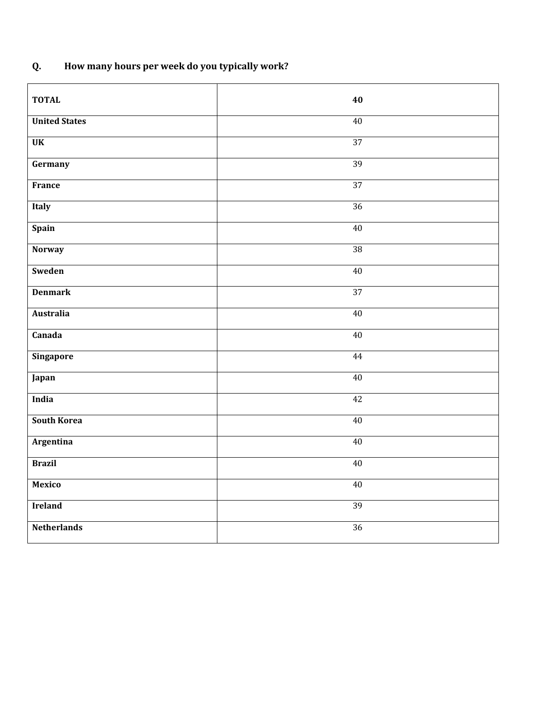## **Q. How many hours per week do you typically work?**

| <b>TOTAL</b>           | 40              |
|------------------------|-----------------|
| <b>United States</b>   | 40              |
| $\overline{\text{UK}}$ | 37              |
| Germany                | 39              |
| France                 | 37              |
| <b>Italy</b>           | 36              |
| <b>Spain</b>           | 40              |
| <b>Norway</b>          | $\overline{38}$ |
| Sweden                 | 40              |
| <b>Denmark</b>         | 37              |
| Australia              | 40              |
| Canada                 | 40              |
| <b>Singapore</b>       | 44              |
| Japan                  | 40              |
| India                  | 42              |
| <b>South Korea</b>     | 40              |
| Argentina              | 40              |
| <b>Brazil</b>          | 40              |
| <b>Mexico</b>          | 40              |
| <b>Ireland</b>         | 39              |
| <b>Netherlands</b>     | 36              |